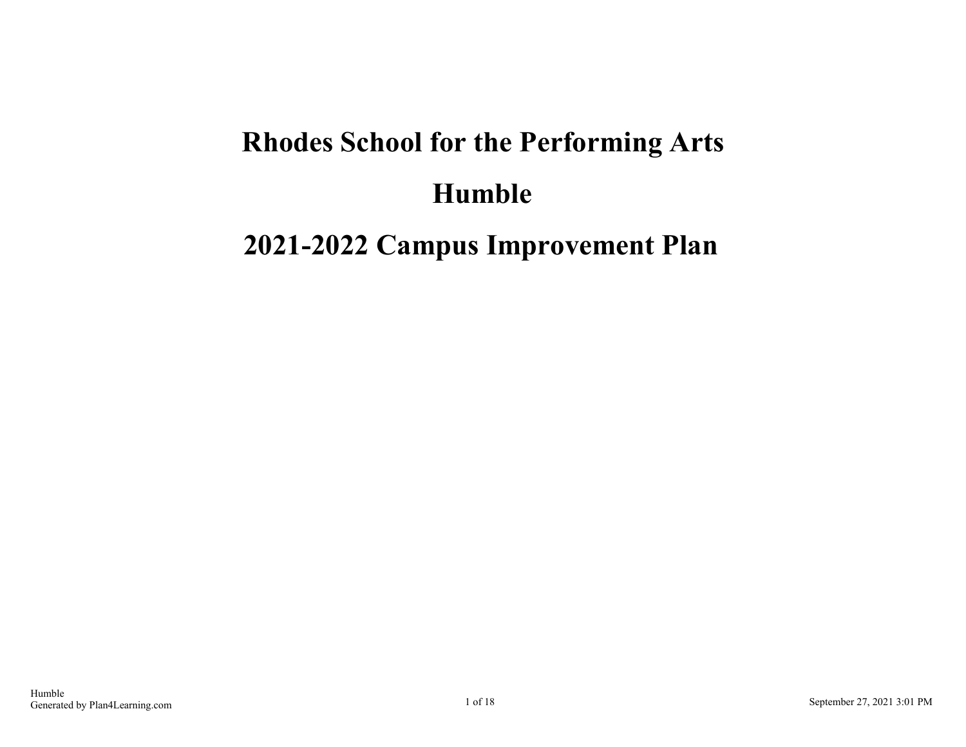# **Rhodes School for the Performing Arts Humble**

### **2021-2022 Campus Improvement Plan**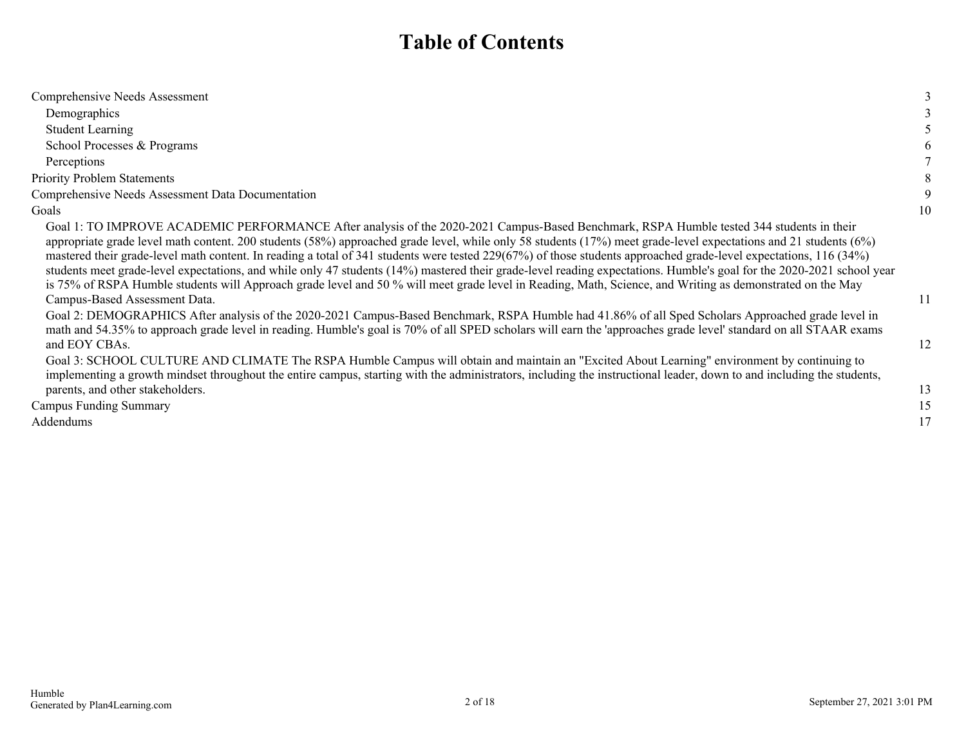### **Table of Contents**

| Comprehensive Needs Assessment                                                                                                                                                                                                                                                                                                                                                                                                                                                                                                                                                                                                                                                                                                                                                                                                                                                                                                                                                                                                                                                                                                                                                                     |          |
|----------------------------------------------------------------------------------------------------------------------------------------------------------------------------------------------------------------------------------------------------------------------------------------------------------------------------------------------------------------------------------------------------------------------------------------------------------------------------------------------------------------------------------------------------------------------------------------------------------------------------------------------------------------------------------------------------------------------------------------------------------------------------------------------------------------------------------------------------------------------------------------------------------------------------------------------------------------------------------------------------------------------------------------------------------------------------------------------------------------------------------------------------------------------------------------------------|----------|
| Demographics                                                                                                                                                                                                                                                                                                                                                                                                                                                                                                                                                                                                                                                                                                                                                                                                                                                                                                                                                                                                                                                                                                                                                                                       |          |
| <b>Student Learning</b>                                                                                                                                                                                                                                                                                                                                                                                                                                                                                                                                                                                                                                                                                                                                                                                                                                                                                                                                                                                                                                                                                                                                                                            |          |
| School Processes & Programs                                                                                                                                                                                                                                                                                                                                                                                                                                                                                                                                                                                                                                                                                                                                                                                                                                                                                                                                                                                                                                                                                                                                                                        |          |
| Perceptions                                                                                                                                                                                                                                                                                                                                                                                                                                                                                                                                                                                                                                                                                                                                                                                                                                                                                                                                                                                                                                                                                                                                                                                        |          |
| <b>Priority Problem Statements</b>                                                                                                                                                                                                                                                                                                                                                                                                                                                                                                                                                                                                                                                                                                                                                                                                                                                                                                                                                                                                                                                                                                                                                                 |          |
| Comprehensive Needs Assessment Data Documentation                                                                                                                                                                                                                                                                                                                                                                                                                                                                                                                                                                                                                                                                                                                                                                                                                                                                                                                                                                                                                                                                                                                                                  |          |
| Goals                                                                                                                                                                                                                                                                                                                                                                                                                                                                                                                                                                                                                                                                                                                                                                                                                                                                                                                                                                                                                                                                                                                                                                                              | 10       |
| Goal 1: TO IMPROVE ACADEMIC PERFORMANCE After analysis of the 2020-2021 Campus-Based Benchmark, RSPA Humble tested 344 students in their<br>appropriate grade level math content. 200 students (58%) approached grade level, while only 58 students (17%) meet grade-level expectations and 21 students (6%)<br>mastered their grade-level math content. In reading a total of 341 students were tested 229(67%) of those students approached grade-level expectations, 116 (34%)<br>students meet grade-level expectations, and while only 47 students (14%) mastered their grade-level reading expectations. Humble's goal for the 2020-2021 school year<br>is 75% of RSPA Humble students will Approach grade level and 50% will meet grade level in Reading, Math, Science, and Writing as demonstrated on the May<br>Campus-Based Assessment Data.<br>Goal 2: DEMOGRAPHICS After analysis of the 2020-2021 Campus-Based Benchmark, RSPA Humble had 41.86% of all Sped Scholars Approached grade level in<br>math and 54.35% to approach grade level in reading. Humble's goal is 70% of all SPED scholars will earn the 'approaches grade level' standard on all STAAR exams<br>and EOY CBAs. | 11<br>12 |
| Goal 3: SCHOOL CULTURE AND CLIMATE The RSPA Humble Campus will obtain and maintain an "Excited About Learning" environment by continuing to<br>implementing a growth mindset throughout the entire campus, starting with the administrators, including the instructional leader, down to and including the students,<br>parents, and other stakeholders.                                                                                                                                                                                                                                                                                                                                                                                                                                                                                                                                                                                                                                                                                                                                                                                                                                           | 13       |
| <b>Campus Funding Summary</b>                                                                                                                                                                                                                                                                                                                                                                                                                                                                                                                                                                                                                                                                                                                                                                                                                                                                                                                                                                                                                                                                                                                                                                      | 15       |
| Addendums                                                                                                                                                                                                                                                                                                                                                                                                                                                                                                                                                                                                                                                                                                                                                                                                                                                                                                                                                                                                                                                                                                                                                                                          | 17       |
|                                                                                                                                                                                                                                                                                                                                                                                                                                                                                                                                                                                                                                                                                                                                                                                                                                                                                                                                                                                                                                                                                                                                                                                                    |          |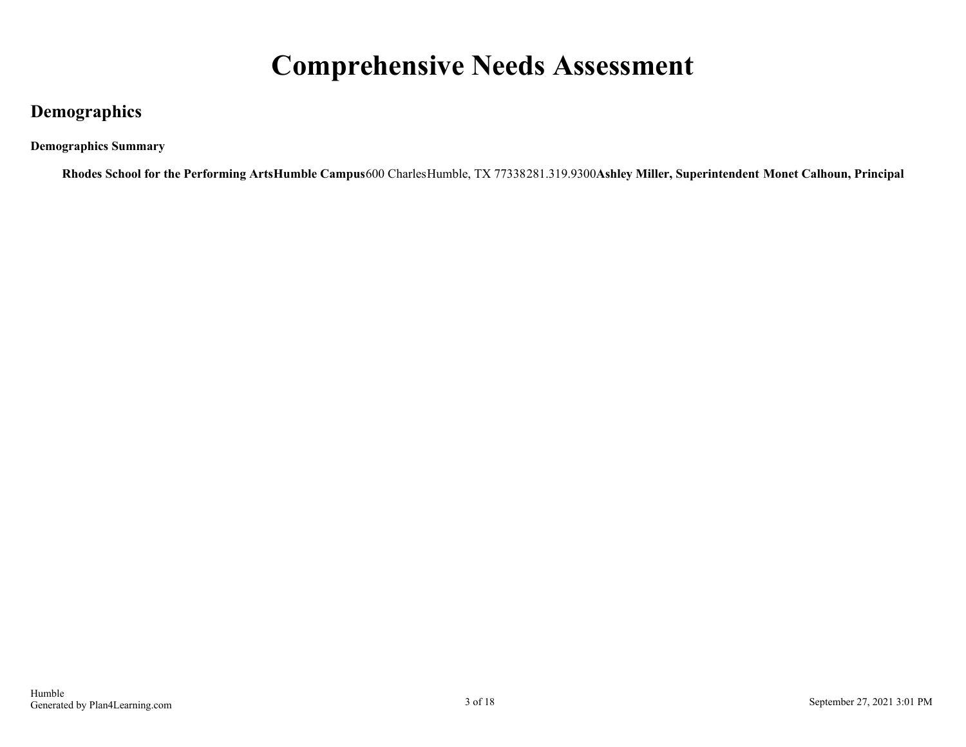## **Comprehensive Needs Assessment**

### <span id="page-2-0"></span>**Demographics**

**Demographics Summary**

**Rhodes School for the Performing ArtsHumble Campus**600 CharlesHumble, TX 77338281.319.9300**Ashley Miller, Superintendent Monet Calhoun, Principal**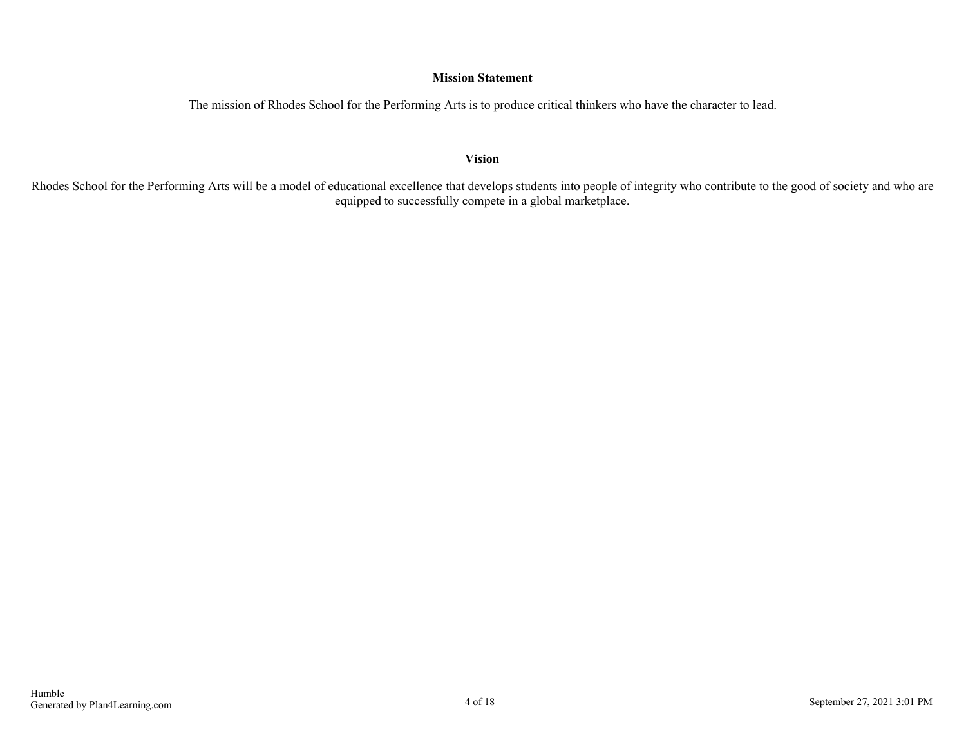#### **Mission Statement**

The mission of Rhodes School for the Performing Arts is to produce critical thinkers who have the character to lead.

**Vision**

Rhodes School for the Performing Arts will be a model of educational excellence that develops students into people of integrity who contribute to the good of society and who are equipped to successfully compete in a global marketplace.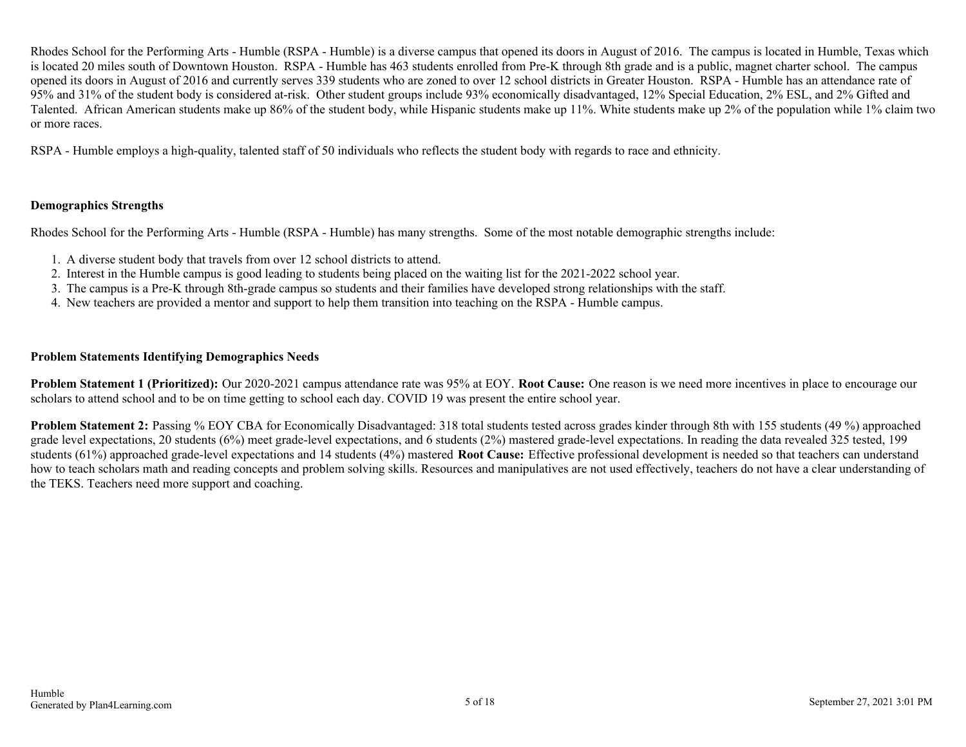Rhodes School for the Performing Arts - Humble (RSPA - Humble) is a diverse campus that opened its doors in August of 2016. The campus is located in Humble, Texas which is located 20 miles south of Downtown Houston. RSPA - Humble has 463 students enrolled from Pre-K through 8th grade and is a public, magnet charter school. The campus opened its doors in August of 2016 and currently serves 339 students who are zoned to over 12 school districts in Greater Houston. RSPA - Humble has an attendance rate of 95% and 31% of the student body is considered at-risk. Other student groups include 93% economically disadvantaged, 12% Special Education, 2% ESL, and 2% Gifted and Talented. African American students make up 86% of the student body, while Hispanic students make up 11%. White students make up 2% of the population while 1% claim two or more races.

RSPA - Humble employs a high-quality, talented staff of 50 individuals who reflects the student body with regards to race and ethnicity.

#### **Demographics Strengths**

Rhodes School for the Performing Arts - Humble (RSPA - Humble) has many strengths. Some of the most notable demographic strengths include:

- 1. A diverse student body that travels from over 12 school districts to attend.
- 2. Interest in the Humble campus is good leading to students being placed on the waiting list for the 2021-2022 school year.
- 3. The campus is a Pre-K through 8th-grade campus so students and their families have developed strong relationships with the staff.
- 4. New teachers are provided a mentor and support to help them transition into teaching on the RSPA Humble campus.

#### **Problem Statements Identifying Demographics Needs**

**Problem Statement 1 (Prioritized):** Our 2020-2021 campus attendance rate was 95% at EOY. **Root Cause:** One reason is we need more incentives in place to encourage our scholars to attend school and to be on time getting to school each day. COVID 19 was present the entire school year.

**Problem Statement 2:** Passing % EOY CBA for Economically Disadvantaged: 318 total students tested across grades kinder through 8th with 155 students (49 %) approached grade level expectations, 20 students (6%) meet grade-level expectations, and 6 students (2%) mastered grade-level expectations. In reading the data revealed 325 tested, 199 students (61%) approached grade-level expectations and 14 students (4%) mastered **Root Cause:** Effective professional development is needed so that teachers can understand how to teach scholars math and reading concepts and problem solving skills. Resources and manipulatives are not used effectively, teachers do not have a clear understanding of the TEKS. Teachers need more support and coaching.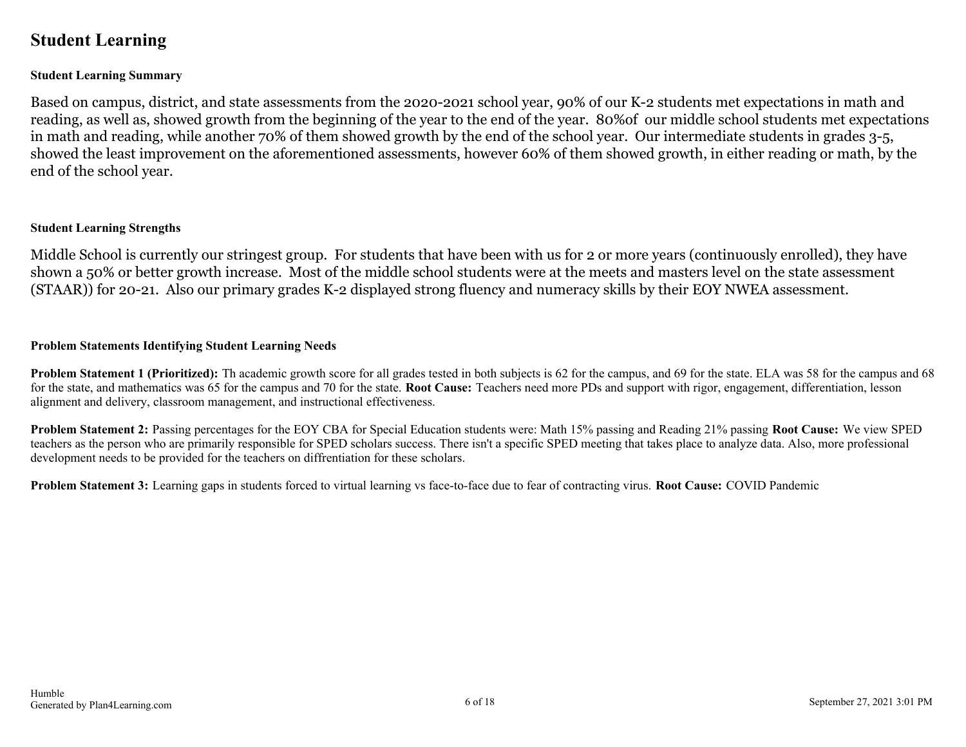### <span id="page-5-0"></span>**Student Learning**

#### **Student Learning Summary**

Based on campus, district, and state assessments from the 2020-2021 school year, 90% of our K-2 students met expectations in math and reading, as well as, showed growth from the beginning of the year to the end of the year. 80%of our middle school students met expectations in math and reading, while another 70% of them showed growth by the end of the school year. Our intermediate students in grades 3-5, showed the least improvement on the aforementioned assessments, however 60% of them showed growth, in either reading or math, by the end of the school year.

#### **Student Learning Strengths**

Middle School is currently our stringest group. For students that have been with us for 2 or more years (continuously enrolled), they have shown a 50% or better growth increase. Most of the middle school students were at the meets and masters level on the state assessment (STAAR)) for 20-21. Also our primary grades K-2 displayed strong fluency and numeracy skills by their EOY NWEA assessment.

#### **Problem Statements Identifying Student Learning Needs**

**Problem Statement 1 (Prioritized):** Th academic growth score for all grades tested in both subjects is 62 for the campus, and 69 for the state. ELA was 58 for the campus and 68 for the state, and mathematics was 65 for the campus and 70 for the state. **Root Cause:** Teachers need more PDs and support with rigor, engagement, differentiation, lesson alignment and delivery, classroom management, and instructional effectiveness.

**Problem Statement 2:** Passing percentages for the EOY CBA for Special Education students were: Math 15% passing and Reading 21% passing **Root Cause:** We view SPED teachers as the person who are primarily responsible for SPED scholars success. There isn't a specific SPED meeting that takes place to analyze data. Also, more professional development needs to be provided for the teachers on diffrentiation for these scholars.

**Problem Statement 3:** Learning gaps in students forced to virtual learning vs face-to-face due to fear of contracting virus. **Root Cause:** COVID Pandemic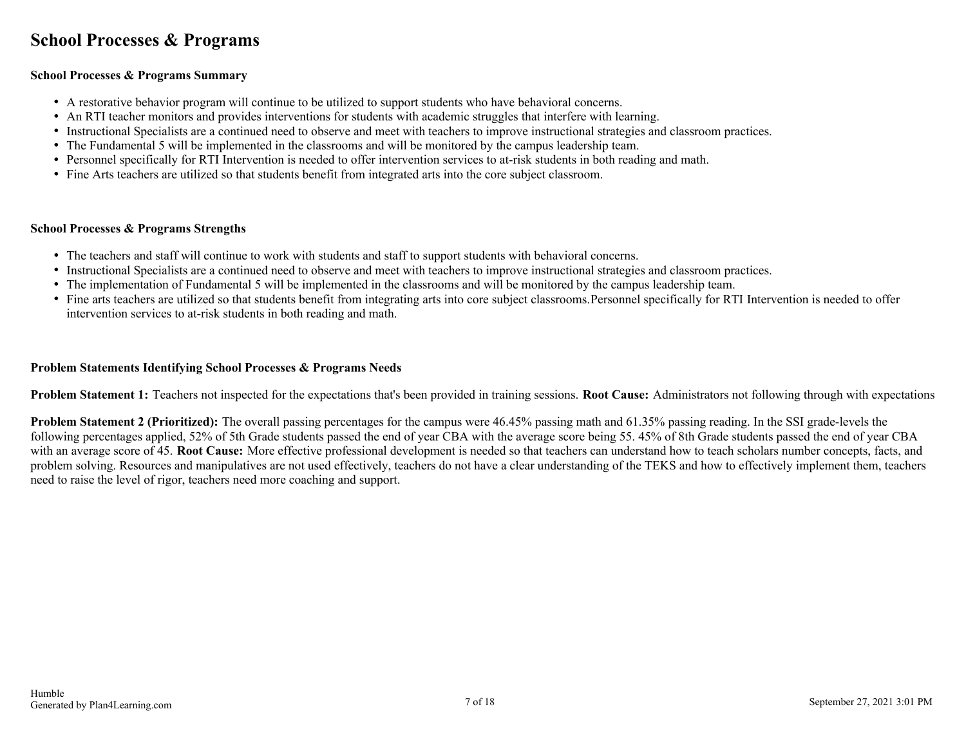### <span id="page-6-0"></span>**School Processes & Programs**

#### **School Processes & Programs Summary**

- A restorative behavior program will continue to be utilized to support students who have behavioral concerns.
- An RTI teacher monitors and provides interventions for students with academic struggles that interfere with learning.
- Instructional Specialists are a continued need to observe and meet with teachers to improve instructional strategies and classroom practices.
- The Fundamental 5 will be implemented in the classrooms and will be monitored by the campus leadership team.
- Personnel specifically for RTI Intervention is needed to offer intervention services to at-risk students in both reading and math.
- Fine Arts teachers are utilized so that students benefit from integrated arts into the core subject classroom.

#### **School Processes & Programs Strengths**

- The teachers and staff will continue to work with students and staff to support students with behavioral concerns.
- Instructional Specialists are a continued need to observe and meet with teachers to improve instructional strategies and classroom practices.
- The implementation of Fundamental 5 will be implemented in the classrooms and will be monitored by the campus leadership team.
- Fine arts teachers are utilized so that students benefit from integrating arts into core subject classrooms.Personnel specifically for RTI Intervention is needed to offer intervention services to at-risk students in both reading and math.

#### **Problem Statements Identifying School Processes & Programs Needs**

**Problem Statement 1:** Teachers not inspected for the expectations that's been provided in training sessions. **Root Cause:** Administrators not following through with expectations

**Problem Statement 2 (Prioritized):** The overall passing percentages for the campus were 46.45% passing math and 61.35% passing reading. In the SSI grade-levels the following percentages applied, 52% of 5th Grade students passed the end of year CBA with the average score being 55. 45% of 8th Grade students passed the end of year CBA with an average score of 45. **Root Cause:** More effective professional development is needed so that teachers can understand how to teach scholars number concepts, facts, and problem solving. Resources and manipulatives are not used effectively, teachers do not have a clear understanding of the TEKS and how to effectively implement them, teachers need to raise the level of rigor, teachers need more coaching and support.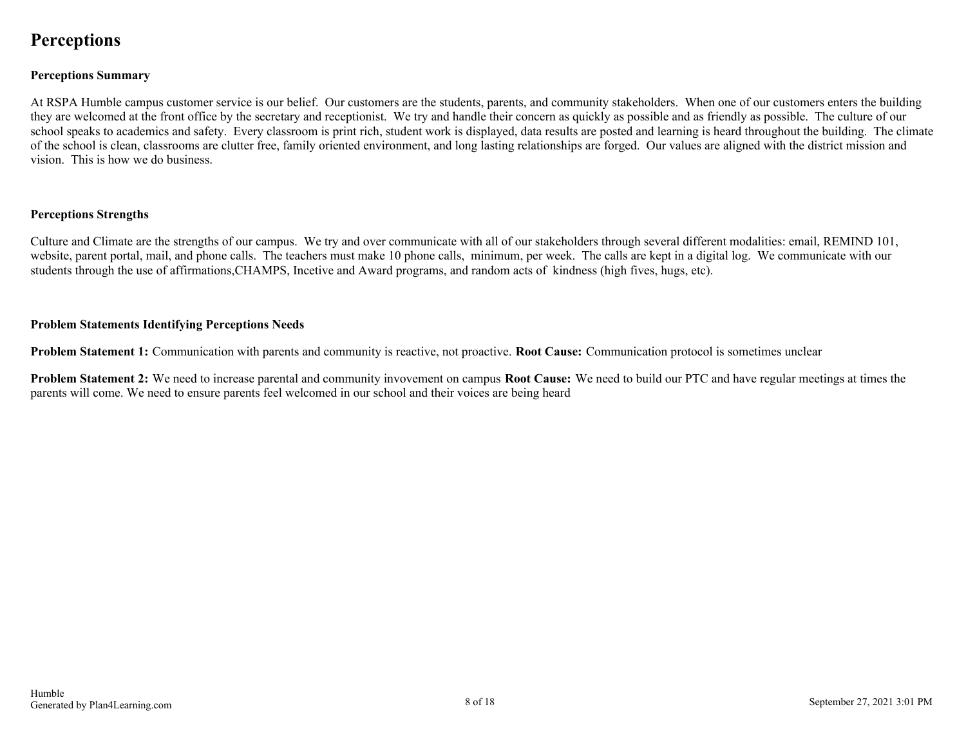### <span id="page-7-0"></span>**Perceptions**

#### **Perceptions Summary**

At RSPA Humble campus customer service is our belief. Our customers are the students, parents, and community stakeholders. When one of our customers enters the building they are welcomed at the front office by the secretary and receptionist. We try and handle their concern as quickly as possible and as friendly as possible. The culture of our school speaks to academics and safety. Every classroom is print rich, student work is displayed, data results are posted and learning is heard throughout the building. The climate of the school is clean, classrooms are clutter free, family oriented environment, and long lasting relationships are forged. Our values are aligned with the district mission and vision. This is how we do business.

#### **Perceptions Strengths**

Culture and Climate are the strengths of our campus. We try and over communicate with all of our stakeholders through several different modalities: email, REMIND 101, website, parent portal, mail, and phone calls. The teachers must make 10 phone calls, minimum, per week. The calls are kept in a digital log. We communicate with our students through the use of affirmations,CHAMPS, Incetive and Award programs, and random acts of kindness (high fives, hugs, etc).

#### **Problem Statements Identifying Perceptions Needs**

**Problem Statement 1:** Communication with parents and community is reactive, not proactive. **Root Cause:** Communication protocol is sometimes unclear

**Problem Statement 2:** We need to increase parental and community invovement on campus **Root Cause:** We need to build our PTC and have regular meetings at times the parents will come. We need to ensure parents feel welcomed in our school and their voices are being heard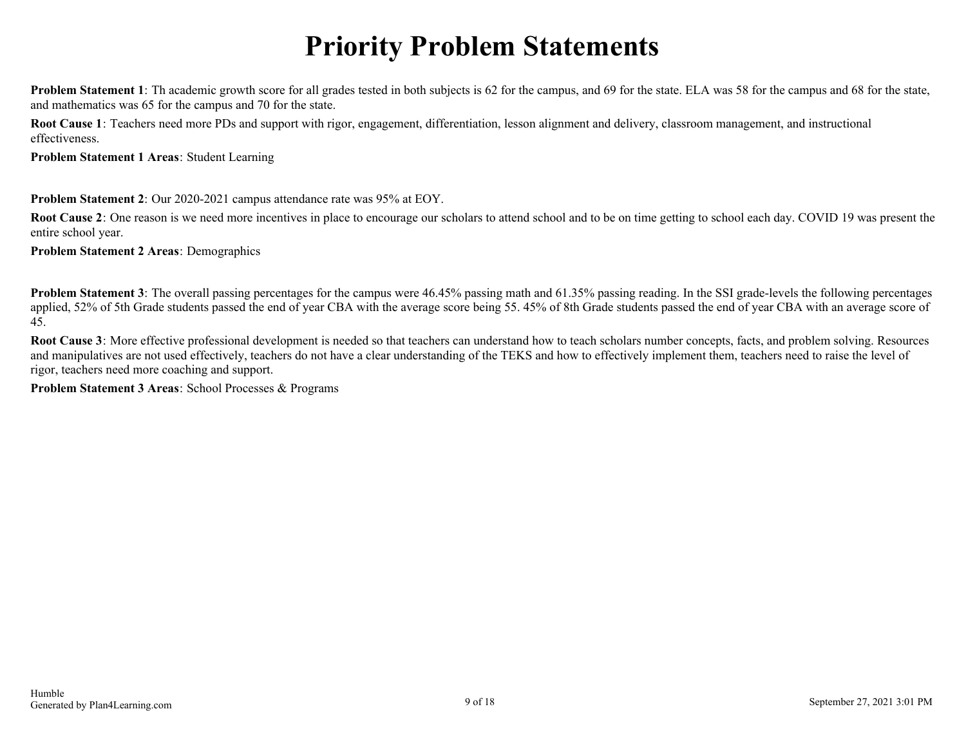# **Priority Problem Statements**

<span id="page-8-0"></span>**Problem Statement 1**: Th academic growth score for all grades tested in both subjects is 62 for the campus, and 69 for the state. ELA was 58 for the campus and 68 for the state, and mathematics was 65 for the campus and 70 for the state.

**Root Cause 1**: Teachers need more PDs and support with rigor, engagement, differentiation, lesson alignment and delivery, classroom management, and instructional effectiveness.

**Problem Statement 1 Areas**: Student Learning

**Problem Statement 2**: Our 2020-2021 campus attendance rate was 95% at EOY.

**Root Cause 2**: One reason is we need more incentives in place to encourage our scholars to attend school and to be on time getting to school each day. COVID 19 was present the entire school year.

**Problem Statement 2 Areas**: Demographics

**Problem Statement 3**: The overall passing percentages for the campus were 46.45% passing math and 61.35% passing reading. In the SSI grade-levels the following percentages applied, 52% of 5th Grade students passed the end of year CBA with the average score being 55. 45% of 8th Grade students passed the end of year CBA with an average score of 45.

**Root Cause 3**: More effective professional development is needed so that teachers can understand how to teach scholars number concepts, facts, and problem solving. Resources and manipulatives are not used effectively, teachers do not have a clear understanding of the TEKS and how to effectively implement them, teachers need to raise the level of rigor, teachers need more coaching and support.

**Problem Statement 3 Areas**: School Processes & Programs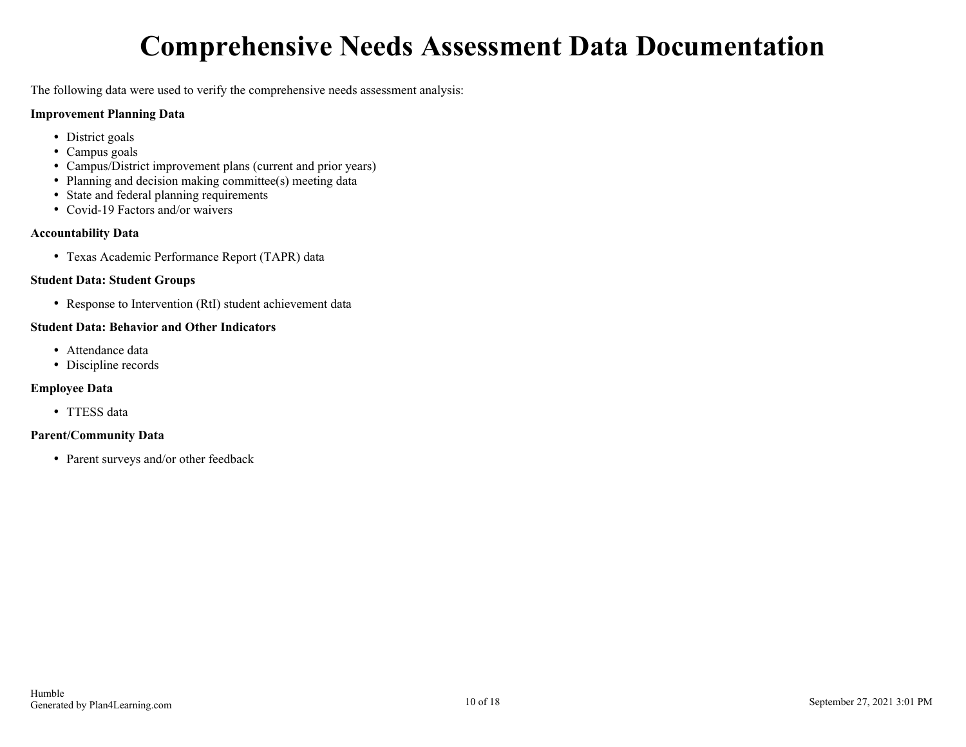# **Comprehensive Needs Assessment Data Documentation**

<span id="page-9-0"></span>The following data were used to verify the comprehensive needs assessment analysis:

#### **Improvement Planning Data**

- District goals
- Campus goals
- Campus/District improvement plans (current and prior years)
- Planning and decision making committee(s) meeting data
- State and federal planning requirements
- Covid-19 Factors and/or waivers

#### **Accountability Data**

Texas Academic Performance Report (TAPR) data

#### **Student Data: Student Groups**

• Response to Intervention (RtI) student achievement data

#### **Student Data: Behavior and Other Indicators**

- Attendance data
- Discipline records

#### **Employee Data**

• TTESS data

#### **Parent/Community Data**

• Parent surveys and/or other feedback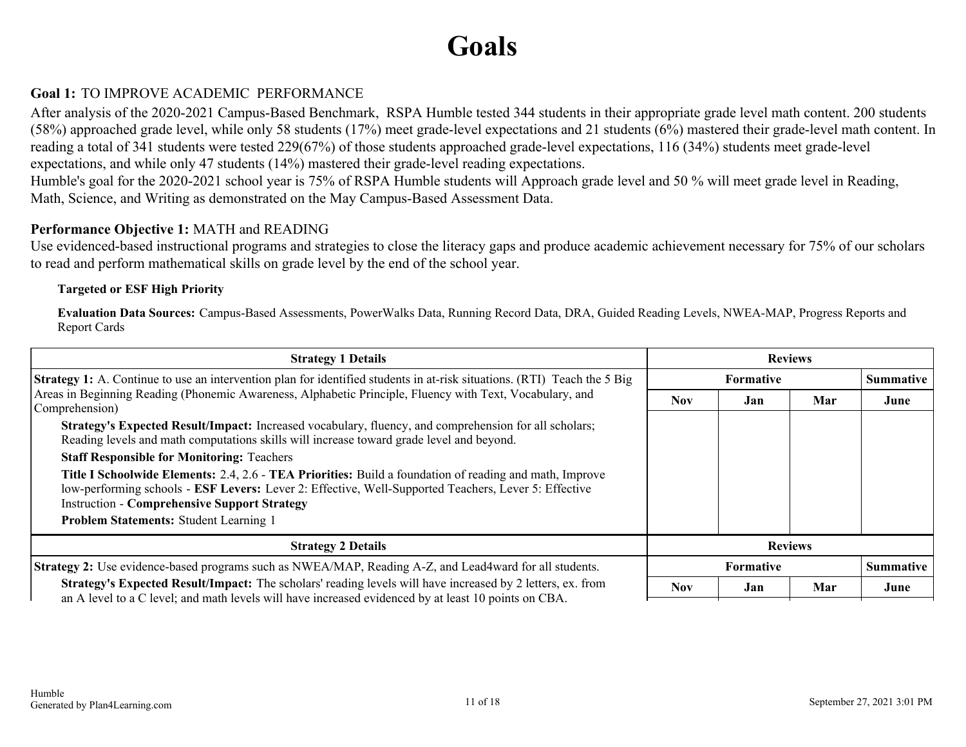# **Goals**

#### <span id="page-10-0"></span>**Goal 1:** TO IMPROVE ACADEMIC PERFORMANCE

After analysis of the 2020-2021 Campus-Based Benchmark, RSPA Humble tested 344 students in their appropriate grade level math content. 200 students (58%) approached grade level, while only 58 students (17%) meet grade-level expectations and 21 students (6%) mastered their grade-level math content. In reading a total of 341 students were tested 229(67%) of those students approached grade-level expectations, 116 (34%) students meet grade-level expectations, and while only 47 students (14%) mastered their grade-level reading expectations.

Humble's goal for the 2020-2021 school year is 75% of RSPA Humble students will Approach grade level and 50 % will meet grade level in Reading, Math, Science, and Writing as demonstrated on the May Campus-Based Assessment Data.

#### **Performance Objective 1:** MATH and READING

Use evidenced-based instructional programs and strategies to close the literacy gaps and produce academic achievement necessary for 75% of our scholars to read and perform mathematical skills on grade level by the end of the school year.

#### **Targeted or ESF High Priority**

**Evaluation Data Sources:** Campus-Based Assessments, PowerWalks Data, Running Record Data, DRA, Guided Reading Levels, NWEA-MAP, Progress Reports and Report Cards

| <b>Strategy 1 Details</b>                                                                                                                                                                                                                                                     | <b>Reviews</b> |           |     |                  |
|-------------------------------------------------------------------------------------------------------------------------------------------------------------------------------------------------------------------------------------------------------------------------------|----------------|-----------|-----|------------------|
| Strategy 1: A. Continue to use an intervention plan for identified students in at-risk situations. (RTI) Teach the 5 Big                                                                                                                                                      | Formative      |           |     | <b>Summative</b> |
| Areas in Beginning Reading (Phonemic Awareness, Alphabetic Principle, Fluency with Text, Vocabulary, and<br>Comprehension)                                                                                                                                                    | Nov.           | Jan       | Mar | June             |
| Strategy's Expected Result/Impact: Increased vocabulary, fluency, and comprehension for all scholars;<br>Reading levels and math computations skills will increase toward grade level and beyond.                                                                             |                |           |     |                  |
| <b>Staff Responsible for Monitoring: Teachers</b>                                                                                                                                                                                                                             |                |           |     |                  |
| <b>Title I Schoolwide Elements: 2.4, 2.6 - TEA Priorities:</b> Build a foundation of reading and math, Improve<br>low-performing schools - ESF Levers: Lever 2: Effective, Well-Supported Teachers, Lever 5: Effective<br><b>Instruction - Comprehensive Support Strategy</b> |                |           |     |                  |
| Problem Statements: Student Learning 1                                                                                                                                                                                                                                        |                |           |     |                  |
| <b>Strategy 2 Details</b>                                                                                                                                                                                                                                                     | <b>Reviews</b> |           |     |                  |
| <b>Strategy 2:</b> Use evidence-based programs such as NWEA/MAP, Reading A-Z, and Lead4ward for all students.                                                                                                                                                                 |                | Formative |     | <b>Summative</b> |
| <b>Strategy's Expected Result/Impact:</b> The scholars' reading levels will have increased by 2 letters, ex. from<br>an A level to a C level; and math levels will have increased evidenced by at least 10 points on CBA.                                                     | <b>Nov</b>     | Jan       | Mar | June             |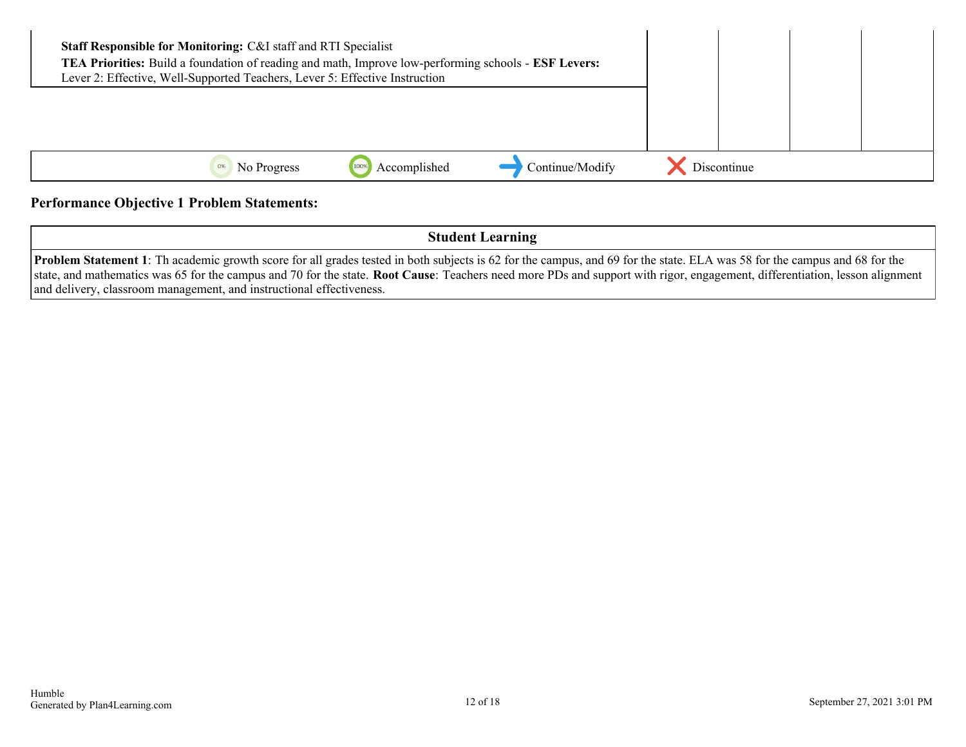| <b>Staff Responsible for Monitoring: C&amp;I staff and RTI Specialist</b><br>TEA Priorities: Build a foundation of reading and math, Improve low-performing schools - ESF Levers:<br>Lever 2: Effective, Well-Supported Teachers, Lever 5: Effective Instruction |             |              |                 |             |  |
|------------------------------------------------------------------------------------------------------------------------------------------------------------------------------------------------------------------------------------------------------------------|-------------|--------------|-----------------|-------------|--|
|                                                                                                                                                                                                                                                                  |             |              |                 |             |  |
| 0%                                                                                                                                                                                                                                                               | No Progress | Accomplished | Continue/Modify | Discontinue |  |

#### **Performance Objective 1 Problem Statements:**

**Student Learning**

**Problem Statement 1**: Th academic growth score for all grades tested in both subjects is 62 for the campus, and 69 for the state. ELA was 58 for the campus and 68 for the state, and mathematics was 65 for the campus and 70 for the state. **Root Cause**: Teachers need more PDs and support with rigor, engagement, differentiation, lesson alignment and delivery, classroom management, and instructional effectiveness.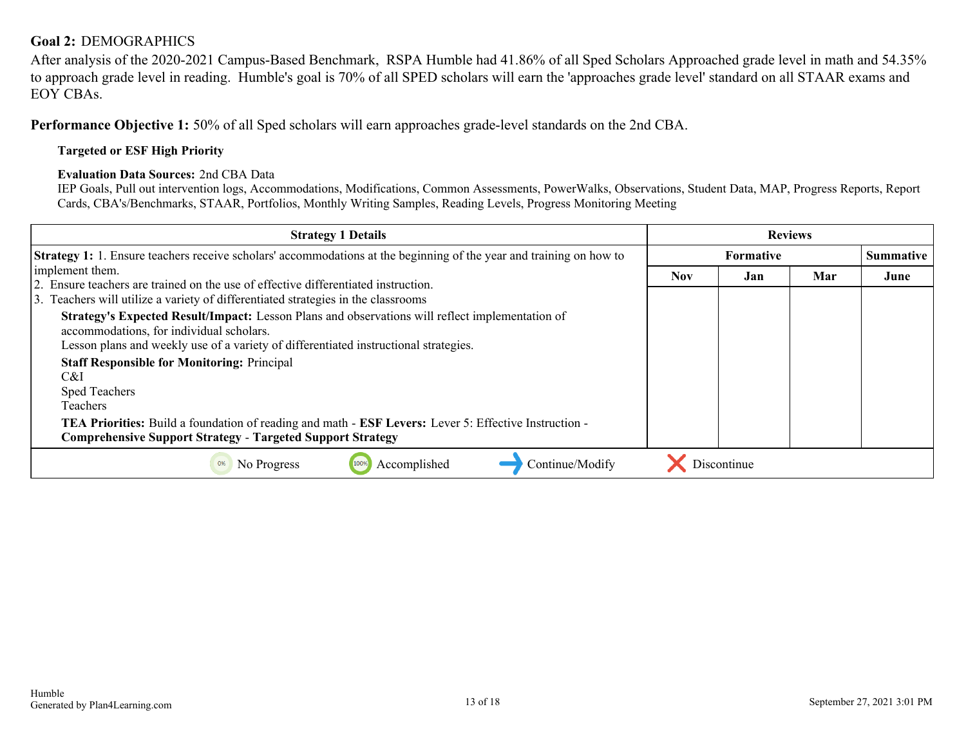#### <span id="page-12-0"></span>**Goal 2:** DEMOGRAPHICS

After analysis of the 2020-2021 Campus-Based Benchmark, RSPA Humble had 41.86% of all Sped Scholars Approached grade level in math and 54.35% to approach grade level in reading. Humble's goal is 70% of all SPED scholars will earn the 'approaches grade level' standard on all STAAR exams and EOY CBAs.

**Performance Objective 1:** 50% of all Sped scholars will earn approaches grade-level standards on the 2nd CBA.

#### **Targeted or ESF High Priority**

#### **Evaluation Data Sources:** 2nd CBA Data

IEP Goals, Pull out intervention logs, Accommodations, Modifications, Common Assessments, PowerWalks, Observations, Student Data, MAP, Progress Reports, Report Cards, CBA's/Benchmarks, STAAR, Portfolios, Monthly Writing Samples, Reading Levels, Progress Monitoring Meeting

| <b>Strategy 1 Details</b>                                                                                                                                                                                                                                                                                                                                                                                                                                                                                              | <b>Reviews</b> |                  |     |      |
|------------------------------------------------------------------------------------------------------------------------------------------------------------------------------------------------------------------------------------------------------------------------------------------------------------------------------------------------------------------------------------------------------------------------------------------------------------------------------------------------------------------------|----------------|------------------|-----|------|
| <b>Strategy 1:</b> 1. Ensure teachers receive scholars' accommodations at the beginning of the year and training on how to                                                                                                                                                                                                                                                                                                                                                                                             |                | <b>Summative</b> |     |      |
| implement them.<br>2. Ensure teachers are trained on the use of effective differentiated instruction.<br>3. Teachers will utilize a variety of differentiated strategies in the classrooms<br>Strategy's Expected Result/Impact: Lesson Plans and observations will reflect implementation of<br>accommodations, for individual scholars.<br>Lesson plans and weekly use of a variety of differentiated instructional strategies.<br><b>Staff Responsible for Monitoring: Principal</b><br>C&I<br><b>Sped Teachers</b> | <b>Nov</b>     | Jan              | Mar | June |
| Teachers<br><b>TEA Priorities:</b> Build a foundation of reading and math - <b>ESF Levers:</b> Lever 5: Effective Instruction -<br><b>Comprehensive Support Strategy - Targeted Support Strategy</b>                                                                                                                                                                                                                                                                                                                   |                |                  |     |      |
| Continue/Modify<br>Accomplished<br>No Progress<br>100%<br>0%                                                                                                                                                                                                                                                                                                                                                                                                                                                           |                | Discontinue      |     |      |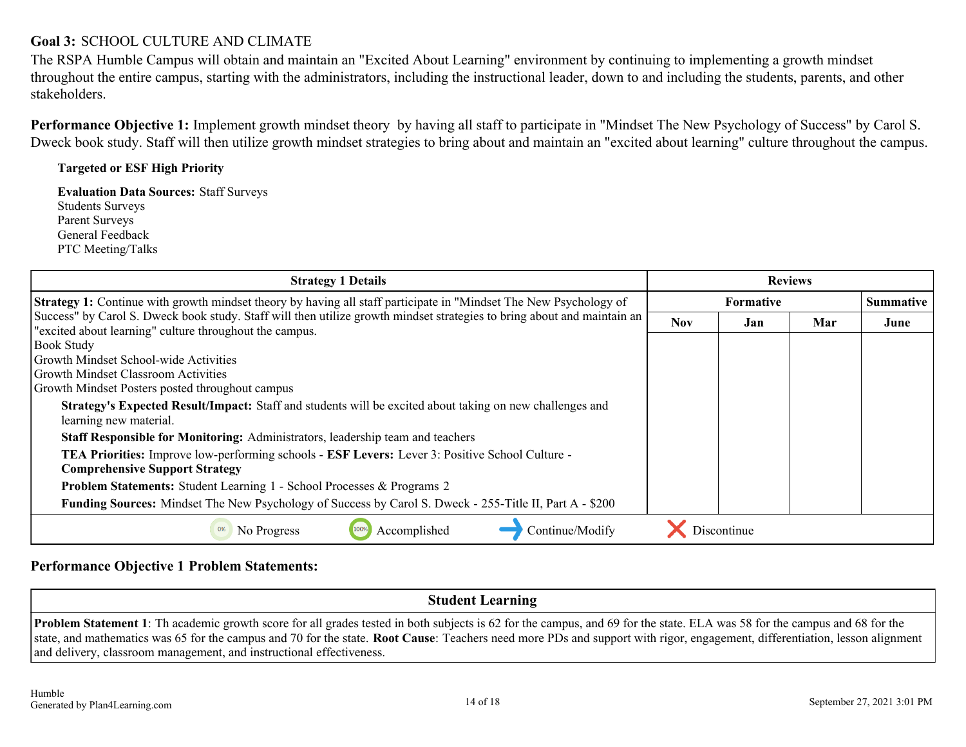#### <span id="page-13-0"></span>**Goal 3:** SCHOOL CULTURE AND CLIMATE

The RSPA Humble Campus will obtain and maintain an "Excited About Learning" environment by continuing to implementing a growth mindset throughout the entire campus, starting with the administrators, including the instructional leader, down to and including the students, parents, and other stakeholders.

**Performance Objective 1:** Implement growth mindset theory by having all staff to participate in "Mindset The New Psychology of Success" by Carol S. Dweck book study. Staff will then utilize growth mindset strategies to bring about and maintain an "excited about learning" culture throughout the campus.

#### **Targeted or ESF High Priority**

**Evaluation Data Sources:** Staff Surveys Students Surveys Parent Surveys General Feedback PTC Meeting/Talks

| <b>Strategy 1 Details</b>                                                                                                                                                          | <b>Reviews</b> |                  |     |      |
|------------------------------------------------------------------------------------------------------------------------------------------------------------------------------------|----------------|------------------|-----|------|
| <b>Strategy 1:</b> Continue with growth mindset theory by having all staff participate in "Mindset The New Psychology of                                                           |                | <b>Summative</b> |     |      |
| Success" by Carol S. Dweck book study. Staff will then utilize growth mindset strategies to bring about and maintain an<br>"excited about learning" culture throughout the campus. | <b>Nov</b>     | Jan              | Mar | June |
| <b>Book Study</b>                                                                                                                                                                  |                |                  |     |      |
| <b>Growth Mindset School-wide Activities</b>                                                                                                                                       |                |                  |     |      |
| <b>Growth Mindset Classroom Activities</b>                                                                                                                                         |                |                  |     |      |
| Growth Mindset Posters posted throughout campus                                                                                                                                    |                |                  |     |      |
| Strategy's Expected Result/Impact: Staff and students will be excited about taking on new challenges and<br>learning new material.                                                 |                |                  |     |      |
| <b>Staff Responsible for Monitoring:</b> Administrators, leadership team and teachers                                                                                              |                |                  |     |      |
| TEA Priorities: Improve low-performing schools - ESF Levers: Lever 3: Positive School Culture -<br><b>Comprehensive Support Strategy</b>                                           |                |                  |     |      |
| <b>Problem Statements:</b> Student Learning 1 - School Processes & Programs 2                                                                                                      |                |                  |     |      |
| Funding Sources: Mindset The New Psychology of Success by Carol S. Dweck - 255-Title II, Part A - \$200                                                                            |                |                  |     |      |
| Accomplished<br>Continue/Modify<br>No Progress<br>0%<br>100%                                                                                                                       |                | Discontinue      |     |      |

#### **Performance Objective 1 Problem Statements:**

**Student Learning**

**Problem Statement 1**: Th academic growth score for all grades tested in both subjects is 62 for the campus, and 69 for the state. ELA was 58 for the campus and 68 for the state, and mathematics was 65 for the campus and 70 for the state. **Root Cause**: Teachers need more PDs and support with rigor, engagement, differentiation, lesson alignment and delivery, classroom management, and instructional effectiveness.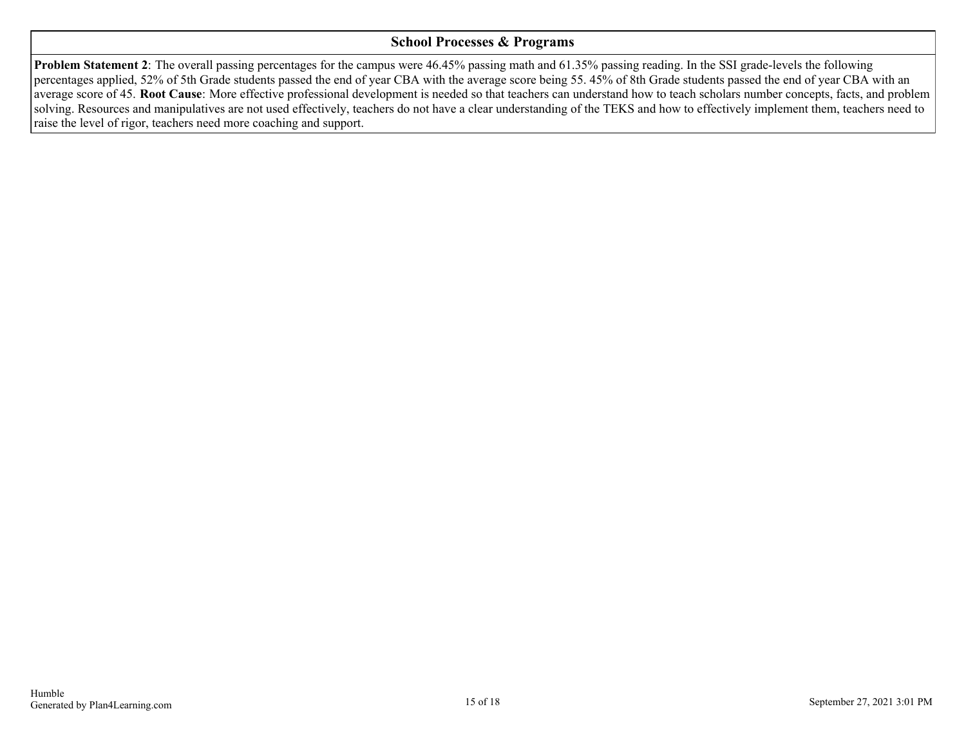#### **School Processes & Programs**

**Problem Statement 2**: The overall passing percentages for the campus were 46.45% passing math and 61.35% passing reading. In the SSI grade-levels the following percentages applied, 52% of 5th Grade students passed the end of year CBA with the average score being 55. 45% of 8th Grade students passed the end of year CBA with an average score of 45. **Root Cause**: More effective professional development is needed so that teachers can understand how to teach scholars number concepts, facts, and problem solving. Resources and manipulatives are not used effectively, teachers do not have a clear understanding of the TEKS and how to effectively implement them, teachers need to raise the level of rigor, teachers need more coaching and support.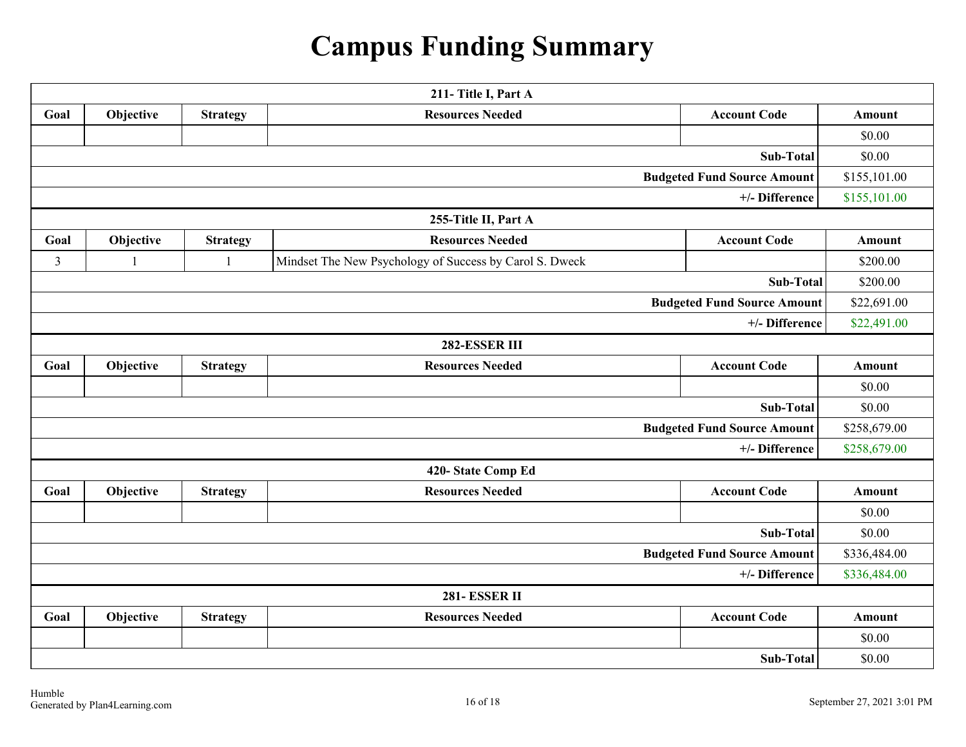# **Campus Funding Summary**

<span id="page-15-0"></span>

| 211-Title I, Part A                |                                                                                |                 |                                                         |                                    |               |  |  |  |
|------------------------------------|--------------------------------------------------------------------------------|-----------------|---------------------------------------------------------|------------------------------------|---------------|--|--|--|
| Goal                               | Objective<br><b>Resources Needed</b><br><b>Account Code</b><br><b>Strategy</b> |                 |                                                         |                                    | Amount        |  |  |  |
|                                    |                                                                                |                 |                                                         |                                    | \$0.00        |  |  |  |
|                                    |                                                                                |                 |                                                         | <b>Sub-Total</b>                   | \$0.00        |  |  |  |
|                                    |                                                                                |                 |                                                         | <b>Budgeted Fund Source Amount</b> | \$155,101.00  |  |  |  |
|                                    |                                                                                |                 |                                                         | +/- Difference                     | \$155,101.00  |  |  |  |
|                                    |                                                                                |                 | 255-Title II, Part A                                    |                                    |               |  |  |  |
| Goal                               | Objective                                                                      | <b>Strategy</b> | <b>Resources Needed</b>                                 | <b>Account Code</b>                | Amount        |  |  |  |
| $\overline{3}$                     | $\mathbf{1}$                                                                   | $\mathbf{1}$    | Mindset The New Psychology of Success by Carol S. Dweck |                                    | \$200.00      |  |  |  |
|                                    |                                                                                |                 |                                                         | Sub-Total                          | \$200.00      |  |  |  |
|                                    |                                                                                |                 |                                                         | <b>Budgeted Fund Source Amount</b> | \$22,691.00   |  |  |  |
|                                    |                                                                                |                 |                                                         | +/- Difference                     | \$22,491.00   |  |  |  |
|                                    |                                                                                |                 | 282-ESSER III                                           |                                    |               |  |  |  |
| Goal                               | Objective                                                                      | <b>Strategy</b> | <b>Resources Needed</b>                                 | <b>Account Code</b>                | <b>Amount</b> |  |  |  |
|                                    |                                                                                |                 |                                                         |                                    | \$0.00        |  |  |  |
| <b>Sub-Total</b>                   |                                                                                |                 |                                                         |                                    |               |  |  |  |
| <b>Budgeted Fund Source Amount</b> |                                                                                |                 |                                                         |                                    |               |  |  |  |
| +/- Difference                     |                                                                                |                 |                                                         |                                    |               |  |  |  |
|                                    |                                                                                |                 | 420-State Comp Ed                                       |                                    |               |  |  |  |
| Goal                               | Objective                                                                      | <b>Strategy</b> | <b>Resources Needed</b>                                 | <b>Account Code</b>                | <b>Amount</b> |  |  |  |
|                                    |                                                                                |                 |                                                         |                                    | \$0.00        |  |  |  |
|                                    |                                                                                |                 |                                                         | <b>Sub-Total</b>                   | \$0.00        |  |  |  |
| <b>Budgeted Fund Source Amount</b> |                                                                                |                 |                                                         |                                    |               |  |  |  |
| +/- Difference                     |                                                                                |                 |                                                         |                                    |               |  |  |  |
|                                    | <b>281- ESSER II</b>                                                           |                 |                                                         |                                    |               |  |  |  |
| Goal                               | Objective                                                                      | <b>Strategy</b> | <b>Resources Needed</b>                                 | <b>Account Code</b>                | Amount        |  |  |  |
|                                    |                                                                                |                 |                                                         |                                    | \$0.00        |  |  |  |
|                                    |                                                                                |                 |                                                         | <b>Sub-Total</b>                   | \$0.00        |  |  |  |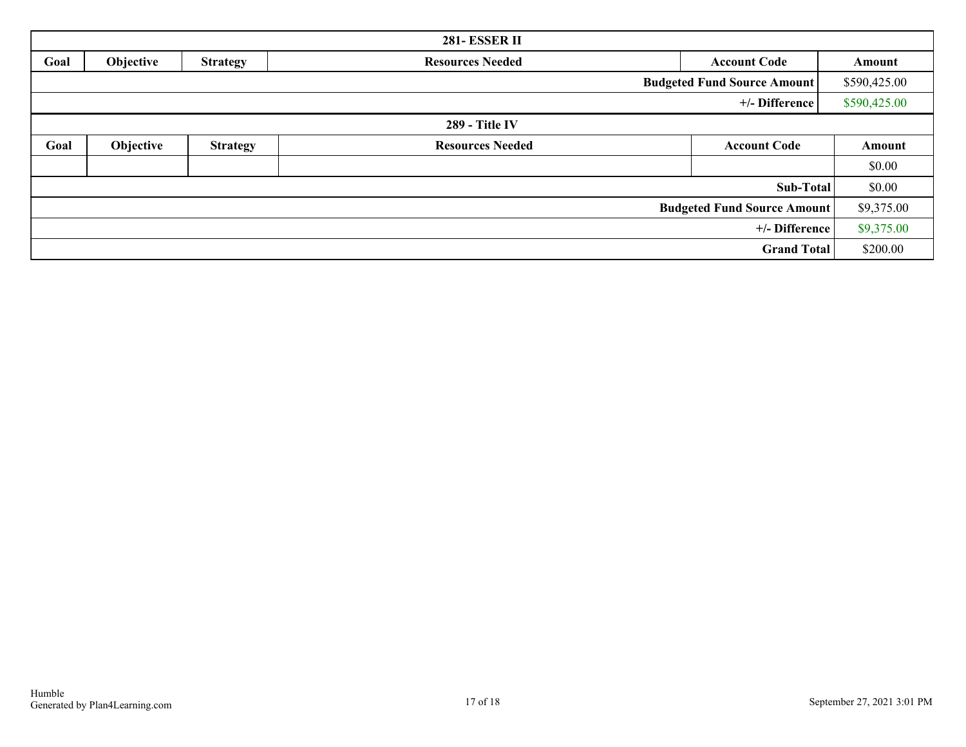| <b>281- ESSER II</b>               |           |                 |                         |                     |              |  |
|------------------------------------|-----------|-----------------|-------------------------|---------------------|--------------|--|
| Goal                               | Objective | <b>Strategy</b> | <b>Resources Needed</b> | <b>Account Code</b> | Amount       |  |
| <b>Budgeted Fund Source Amount</b> |           |                 |                         |                     |              |  |
|                                    |           |                 |                         | +/- Difference      | \$590,425.00 |  |
| <b>289 - Title IV</b>              |           |                 |                         |                     |              |  |
| Goal                               | Objective | <b>Strategy</b> | <b>Resources Needed</b> | <b>Account Code</b> | Amount       |  |
|                                    |           |                 |                         |                     | \$0.00       |  |
|                                    |           |                 |                         | Sub-Total           | \$0.00       |  |
| <b>Budgeted Fund Source Amount</b> |           |                 |                         |                     | \$9,375.00   |  |
| +/- Difference                     |           |                 |                         |                     | \$9,375.00   |  |
|                                    |           |                 |                         | <b>Grand Total</b>  | \$200.00     |  |